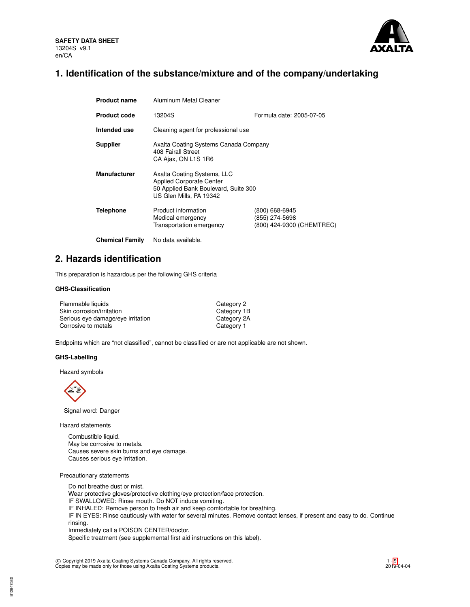

# **1. Identification of the substance/mixture and of the company/undertaking**

| <b>Product name</b>    | Aluminum Metal Cleaner                                                                                                            |                                                               |  |  |  |
|------------------------|-----------------------------------------------------------------------------------------------------------------------------------|---------------------------------------------------------------|--|--|--|
| <b>Product code</b>    | Formula date: 2005-07-05<br>13204S                                                                                                |                                                               |  |  |  |
| Intended use           | Cleaning agent for professional use                                                                                               |                                                               |  |  |  |
| <b>Supplier</b>        | Axalta Coating Systems Canada Company<br>408 Fairall Street<br>CA Ajax, ON L1S 1R6                                                |                                                               |  |  |  |
| <b>Manufacturer</b>    | Axalta Coating Systems, LLC<br><b>Applied Corporate Center</b><br>50 Applied Bank Boulevard, Suite 300<br>US Glen Mills, PA 19342 |                                                               |  |  |  |
| <b>Telephone</b>       | Product information<br>Medical emergency<br>Transportation emergency                                                              | (800) 668-6945<br>(855) 274-5698<br>(800) 424-9300 (CHEMTREC) |  |  |  |
| <b>Chemical Family</b> | No data available.                                                                                                                |                                                               |  |  |  |

## **2. Hazards identification**

This preparation is hazardous per the following GHS criteria

## **GHS-Classification**

| Flammable liquids                 | Category 2  |
|-----------------------------------|-------------|
| Skin corrosion/irritation         | Category 1B |
| Serious eye damage/eye irritation | Category 2A |
| Corrosive to metals               | Category 1  |

Endpoints which are "not classified", cannot be classified or are not applicable are not shown.

## **GHS-Labelling**

Hazard symbols



Signal word: Danger

Hazard statements

Combustible liquid. May be corrosive to metals. Causes severe skin burns and eye damage. Causes serious eye irritation.

Precautionary statements

Do not breathe dust or mist. Wear protective gloves/protective clothing/eye protection/face protection. IF SWALLOWED: Rinse mouth. Do NOT induce vomiting. IF INHALED: Remove person to fresh air and keep comfortable for breathing. IF IN EYES: Rinse cautiously with water for several minutes. Remove contact lenses, if present and easy to do. Continue rinsing. Immediately call a POISON CENTER/doctor. Specific treatment (see supplemental first aid instructions on this label).

c Copyright 2019 Axalta Coating Systems Canada Company. All rights reserved. Copies may be made only for those using Axalta Coating Systems products.

B12847580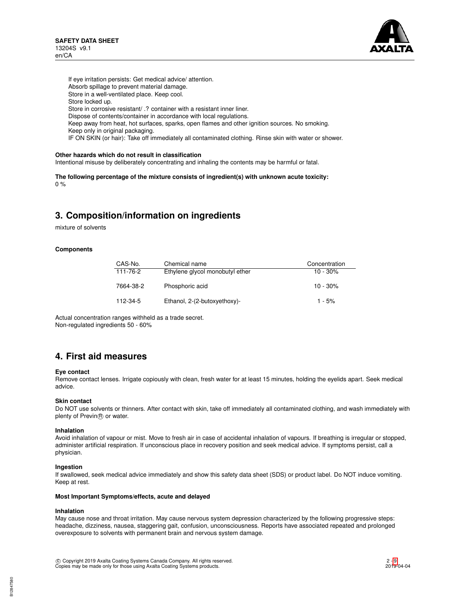

If eye irritation persists: Get medical advice/ attention. Absorb spillage to prevent material damage. Store in a well-ventilated place. Keep cool. Store locked up. Store in corrosive resistant/ .? container with a resistant inner liner. Dispose of contents/container in accordance with local regulations. Keep away from heat, hot surfaces, sparks, open flames and other ignition sources. No smoking. Keep only in original packaging. IF ON SKIN (or hair): Take off immediately all contaminated clothing. Rinse skin with water or shower.

### **Other hazards which do not result in classification**

Intentional misuse by deliberately concentrating and inhaling the contents may be harmful or fatal.

**The following percentage of the mixture consists of ingredient(s) with unknown acute toxicity:**  $0 %$ 

# **3. Composition/information on ingredients**

mixture of solvents

### **Components**

| CAS-No.   | Chemical name                   | Concentration |
|-----------|---------------------------------|---------------|
| 111-76-2  | Ethylene glycol monobutyl ether | $10 - 30\%$   |
| 7664-38-2 | Phosphoric acid                 | $10 - 30\%$   |
| 112-34-5  | Ethanol, 2-(2-butoxyethoxy)-    | $1 - 5%$      |

Actual concentration ranges withheld as a trade secret. Non-regulated ingredients 50 - 60%

## **4. First aid measures**

#### **Eye contact**

Remove contact lenses. Irrigate copiously with clean, fresh water for at least 15 minutes, holding the eyelids apart. Seek medical advice.

### **Skin contact**

Do NOT use solvents or thinners. After contact with skin, take off immediately all contaminated clothing, and wash immediately with plenty of Previn® or water.

#### **Inhalation**

Avoid inhalation of vapour or mist. Move to fresh air in case of accidental inhalation of vapours. If breathing is irregular or stopped, administer artificial respiration. If unconscious place in recovery position and seek medical advice. If symptoms persist, call a physician.

#### **Ingestion**

If swallowed, seek medical advice immediately and show this safety data sheet (SDS) or product label. Do NOT induce vomiting. Keep at rest.

### **Most Important Symptoms/effects, acute and delayed**

#### **Inhalation**

May cause nose and throat irritation. May cause nervous system depression characterized by the following progressive steps: headache, dizziness, nausea, staggering gait, confusion, unconsciousness. Reports have associated repeated and prolonged overexposure to solvents with permanent brain and nervous system damage.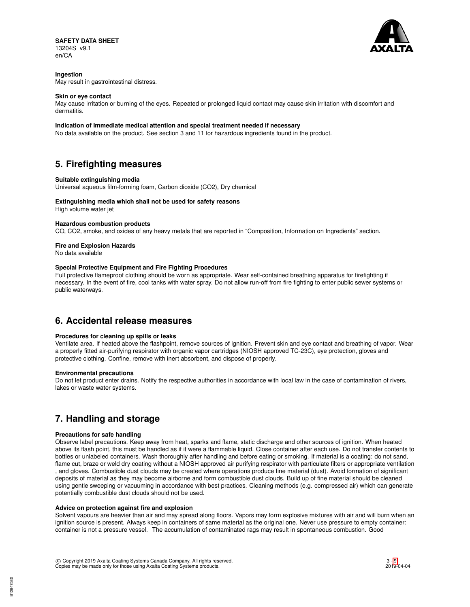

## **Ingestion**

May result in gastrointestinal distress.

### **Skin or eye contact**

May cause irritation or burning of the eyes. Repeated or prolonged liquid contact may cause skin irritation with discomfort and dermatitis.

### **Indication of Immediate medical attention and special treatment needed if necessary**

No data available on the product. See section 3 and 11 for hazardous ingredients found in the product.

# **5. Firefighting measures**

### **Suitable extinguishing media**

Universal aqueous film-forming foam, Carbon dioxide (CO2), Dry chemical

### **Extinguishing media which shall not be used for safety reasons**

High volume water jet

### **Hazardous combustion products**

CO, CO2, smoke, and oxides of any heavy metals that are reported in "Composition, Information on Ingredients" section.

## **Fire and Explosion Hazards**

No data available

### **Special Protective Equipment and Fire Fighting Procedures**

Full protective flameproof clothing should be worn as appropriate. Wear self-contained breathing apparatus for firefighting if necessary. In the event of fire, cool tanks with water spray. Do not allow run-off from fire fighting to enter public sewer systems or public waterways.

## **6. Accidental release measures**

## **Procedures for cleaning up spills or leaks**

Ventilate area. If heated above the flashpoint, remove sources of ignition. Prevent skin and eye contact and breathing of vapor. Wear a properly fitted air-purifying respirator with organic vapor cartridges (NIOSH approved TC-23C), eye protection, gloves and protective clothing. Confine, remove with inert absorbent, and dispose of properly.

### **Environmental precautions**

Do not let product enter drains. Notify the respective authorities in accordance with local law in the case of contamination of rivers, lakes or waste water systems.

# **7. Handling and storage**

## **Precautions for safe handling**

Observe label precautions. Keep away from heat, sparks and flame, static discharge and other sources of ignition. When heated above its flash point, this must be handled as if it were a flammable liquid. Close container after each use. Do not transfer contents to bottles or unlabeled containers. Wash thoroughly after handling and before eating or smoking. If material is a coating: do not sand, flame cut, braze or weld dry coating without a NIOSH approved air purifying respirator with particulate filters or appropriate ventilation , and gloves. Combustible dust clouds may be created where operations produce fine material (dust). Avoid formation of significant deposits of material as they may become airborne and form combustible dust clouds. Build up of fine material should be cleaned using gentle sweeping or vacuuming in accordance with best practices. Cleaning methods (e.g. compressed air) which can generate potentially combustible dust clouds should not be used.

### **Advice on protection against fire and explosion**

Solvent vapours are heavier than air and may spread along floors. Vapors may form explosive mixtures with air and will burn when an ignition source is present. Always keep in containers of same material as the original one. Never use pressure to empty container: container is not a pressure vessel. The accumulation of contaminated rags may result in spontaneous combustion. Good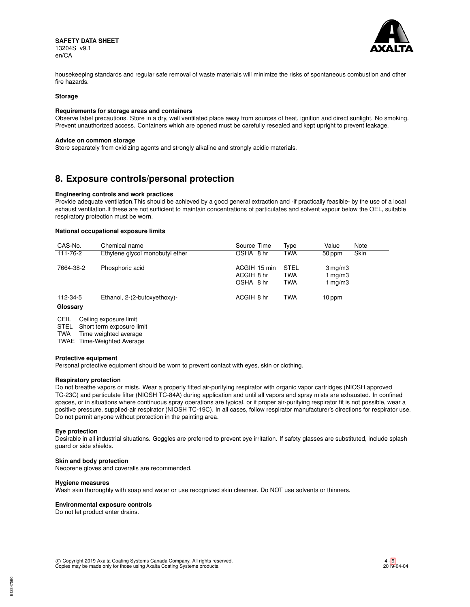

housekeeping standards and regular safe removal of waste materials will minimize the risks of spontaneous combustion and other fire hazards.

### **Storage**

### **Requirements for storage areas and containers**

Observe label precautions. Store in a dry, well ventilated place away from sources of heat, ignition and direct sunlight. No smoking. Prevent unauthorized access. Containers which are opened must be carefully resealed and kept upright to prevent leakage.

#### **Advice on common storage**

Store separately from oxidizing agents and strongly alkaline and strongly acidic materials.

## **8. Exposure controls/personal protection**

### **Engineering controls and work practices**

Provide adequate ventilation.This should be achieved by a good general extraction and -if practically feasible- by the use of a local exhaust ventilation.If these are not sufficient to maintain concentrations of particulates and solvent vapour below the OEL, suitable respiratory protection must be worn.

## **National occupational exposure limits**

| CAS-No.              | Chemical name                   | Source Time                             | Type                             | Value                                       | Note |
|----------------------|---------------------------------|-----------------------------------------|----------------------------------|---------------------------------------------|------|
| 111-76-2             | Ethylene glycol monobutyl ether | OSHA 8 hr                               | <b>TWA</b>                       | 50 ppm                                      | Skin |
| 7664-38-2            | Phosphoric acid                 | ACGIH 15 min<br>ACGIH 8 hr<br>OSHA 8 hr | STEL<br><b>TWA</b><br><b>TWA</b> | $3 \,\mathrm{mg/m}$<br>1 $mq/m3$<br>1 mg/m3 |      |
| 112-34-5<br>Glossary | Ethanol, 2-(2-butoxyethoxy)-    | ACGIH 8 hr                              | <b>TWA</b>                       | $10$ ppm                                    |      |

CEIL Ceiling exposure limit

STEL Short term exposure limit

TWA Time weighted average

TWAE Time-Weighted Average

### **Protective equipment**

Personal protective equipment should be worn to prevent contact with eyes, skin or clothing.

### **Respiratory protection**

Do not breathe vapors or mists. Wear a properly fitted air-purifying respirator with organic vapor cartridges (NIOSH approved TC-23C) and particulate filter (NIOSH TC-84A) during application and until all vapors and spray mists are exhausted. In confined spaces, or in situations where continuous spray operations are typical, or if proper air-purifying respirator fit is not possible, wear a positive pressure, supplied-air respirator (NIOSH TC-19C). In all cases, follow respirator manufacturer's directions for respirator use. Do not permit anyone without protection in the painting area.

### **Eye protection**

Desirable in all industrial situations. Goggles are preferred to prevent eye irritation. If safety glasses are substituted, include splash guard or side shields.

### **Skin and body protection**

Neoprene gloves and coveralls are recommended.

### **Hygiene measures**

Wash skin thoroughly with soap and water or use recognized skin cleanser. Do NOT use solvents or thinners.

### **Environmental exposure controls**

Do not let product enter drains.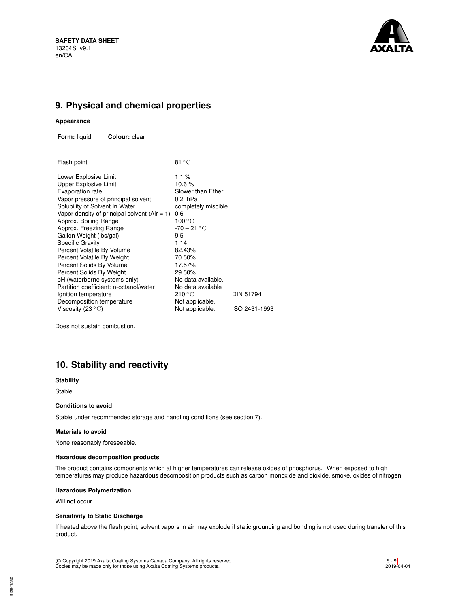

# **9. Physical and chemical properties**

### **Appearance**

**Form:** liquid **Colour:** clear

| Flash point                                     | $81^{\circ}$ C            |               |
|-------------------------------------------------|---------------------------|---------------|
| Lower Explosive Limit                           | $1.1\%$                   |               |
| <b>Upper Explosive Limit</b>                    | 10.6%                     |               |
| Evaporation rate                                | Slower than Ether         |               |
| Vapor pressure of principal solvent             | 0.2 hPa                   |               |
| Solubility of Solvent In Water                  | completely miscible       |               |
| Vapor density of principal solvent (Air $= 1$ ) | 0.6                       |               |
| Approx. Boiling Range                           | $100\,^{\circ}\mathrm{C}$ |               |
| Approx. Freezing Range                          | $-70-21\text{ °C}$        |               |
| Gallon Weight (lbs/gal)                         | 9.5                       |               |
| <b>Specific Gravity</b>                         | 1.14                      |               |
| Percent Volatile By Volume                      | 82.43%                    |               |
| Percent Volatile By Weight                      | 70.50%                    |               |
| Percent Solids By Volume                        | 17.57%                    |               |
| Percent Solids By Weight                        | 29.50%                    |               |
| pH (waterborne systems only)                    | No data available.        |               |
| Partition coefficient: n-octanol/water          | No data available         |               |
| Ignition temperature                            | 210 °C                    | DIN 51794     |
| Decomposition temperature                       | Not applicable.           |               |
| Viscosity (23 $^{\circ}$ C)                     | Not applicable.           | ISO 2431-1993 |
|                                                 |                           |               |

Does not sustain combustion.

# **10. Stability and reactivity**

## **Stability**

Stable

### **Conditions to avoid**

Stable under recommended storage and handling conditions (see section 7).

### **Materials to avoid**

None reasonably foreseeable.

### **Hazardous decomposition products**

The product contains components which at higher temperatures can release oxides of phosphorus. When exposed to high temperatures may produce hazardous decomposition products such as carbon monoxide and dioxide, smoke, oxides of nitrogen.

## **Hazardous Polymerization**

Will not occur.

## **Sensitivity to Static Discharge**

If heated above the flash point, solvent vapors in air may explode if static grounding and bonding is not used during transfer of this product.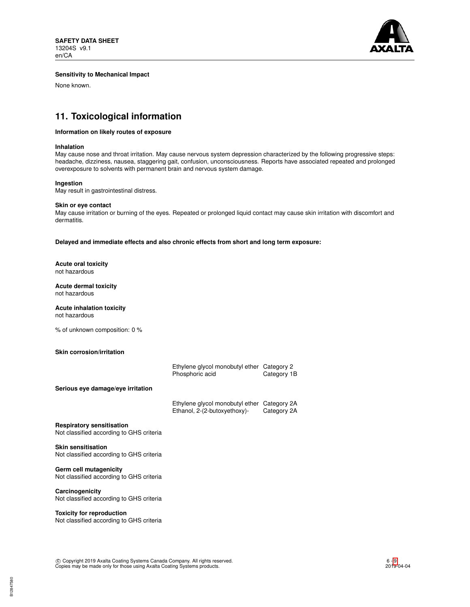

## **Sensitivity to Mechanical Impact**

None known.

# **11. Toxicological information**

### **Information on likely routes of exposure**

#### **Inhalation**

May cause nose and throat irritation. May cause nervous system depression characterized by the following progressive steps: headache, dizziness, nausea, staggering gait, confusion, unconsciousness. Reports have associated repeated and prolonged overexposure to solvents with permanent brain and nervous system damage.

### **Ingestion**

May result in gastrointestinal distress.

### **Skin or eye contact**

May cause irritation or burning of the eyes. Repeated or prolonged liquid contact may cause skin irritation with discomfort and dermatitis.

**Delayed and immediate effects and also chronic effects from short and long term exposure:**

#### **Acute oral toxicity** not hazardous

## **Acute dermal toxicity** not hazardous

# **Acute inhalation toxicity**

not hazardous

% of unknown composition: 0 %

### **Skin corrosion/irritation**

| Germ cell mutagenicity                                                       |                                                                 |                            |
|------------------------------------------------------------------------------|-----------------------------------------------------------------|----------------------------|
| <b>Skin sensitisation</b><br>Not classified according to GHS criteria        |                                                                 |                            |
| <b>Respiratory sensitisation</b><br>Not classified according to GHS criteria |                                                                 |                            |
|                                                                              | Ethylene glycol monobutyl ether<br>Ethanol, 2-(2-butoxyethoxy)- | Category 2A<br>Category 2A |
| Serious eye damage/eye irritation                                            | Ethylene glycol monobutyl ether Category 2<br>Phosphoric acid   | Category 1B                |

Not classified according to GHS criteria

**Carcinogenicity** Not classified according to GHS criteria

## **Toxicity for reproduction**

Not classified according to GHS criteria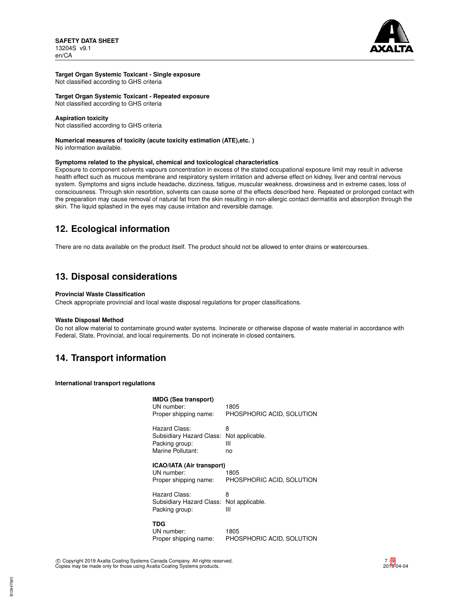

## **Target Organ Systemic Toxicant - Single exposure**

Not classified according to GHS criteria

### **Target Organ Systemic Toxicant - Repeated exposure**

Not classified according to GHS criteria

### **Aspiration toxicity**

Not classified according to GHS criteria

### **Numerical measures of toxicity (acute toxicity estimation (ATE),etc. )**

No information available.

### **Symptoms related to the physical, chemical and toxicological characteristics**

Exposure to component solvents vapours concentration in excess of the stated occupational exposure limit may result in adverse health effect such as mucous membrane and respiratory system irritation and adverse effect on kidney, liver and central nervous system. Symptoms and signs include headache, dizziness, fatigue, muscular weakness, drowsiness and in extreme cases, loss of consciousness. Through skin resorbtion, solvents can cause some of the effects described here. Repeated or prolonged contact with the preparation may cause removal of natural fat from the skin resulting in non-allergic contact dermatitis and absorption through the skin. The liquid splashed in the eyes may cause irritation and reversible damage.

# **12. Ecological information**

There are no data available on the product itself. The product should not be allowed to enter drains or watercourses.

# **13. Disposal considerations**

## **Provincial Waste Classification**

Check appropriate provincial and local waste disposal regulations for proper classifications.

### **Waste Disposal Method**

Do not allow material to contaminate ground water systems. Incinerate or otherwise dispose of waste material in accordance with Federal, State, Provincial, and local requirements. Do not incinerate in closed containers.

## **14. Transport information**

**International transport regulations**

| IMDG (Sea transport)<br>UN number:<br>Proper shipping name:                      | 1805<br>PHOSPHORIC ACID, SOLUTION |
|----------------------------------------------------------------------------------|-----------------------------------|
| Hazard Class:<br>Subsidiary Hazard Class:<br>Packing group:<br>Marine Pollutant: | 8<br>Not applicable.<br>Ш<br>no   |
| ICAO/IATA (Air transport)<br>UN number:<br>Proper shipping name:                 | 1805<br>PHOSPHORIC ACID, SOLUTION |
| Hazard Class:<br>Subsidiary Hazard Class:<br>Packing group:                      | 8<br>Not applicable.<br>Ш         |
| TDG<br>UN number:<br>Proper shipping name:                                       | 1805<br>PHOSPHORIC ACID, SOLUTION |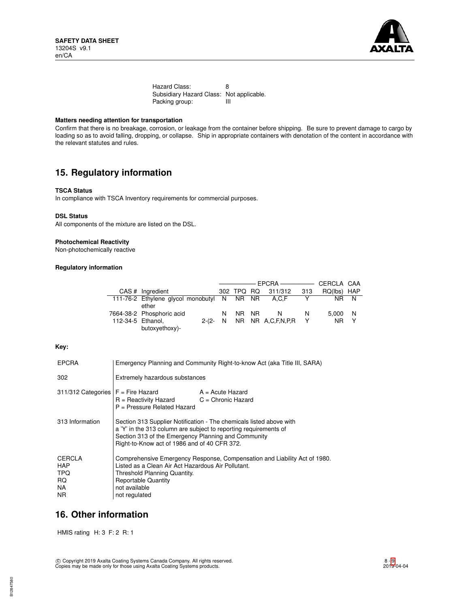

Hazard Class: 8 Subsidiary Hazard Class: Not applicable.<br>Packing group: III Packing group:

## **Matters needing attention for transportation**

Confirm that there is no breakage, corrosion, or leakage from the container before shipping. Be sure to prevent damage to cargo by loading so as to avoid falling, dropping, or collapse. Ship in appropriate containers with denotation of the content in accordance with the relevant statutes and rules.

# **15. Regulatory information**

## **TSCA Status**

In compliance with TSCA Inventory requirements for commercial purposes.

### **DSL Status**

All components of the mixture are listed on the DSL.

### **Photochemical Reactivity**

Non-photochemically reactive

## **Regulatory information**

|                                                  |           |            |                   |     | CERCLA CAA     |              |
|--------------------------------------------------|-----------|------------|-------------------|-----|----------------|--------------|
| CAS # Ingredient                                 |           | 302 TPQ RQ | 311/312           | 313 | RQ(lbs)        | HAP          |
| 111-76-2 Ethylene glycol monobutyl N NR NR A.C.F |           |            |                   |     |                | NR N         |
| ether                                            |           |            |                   |     |                |              |
| 7664-38-2 Phosphoric acid                        | N         | NR NR      | N                 | N   | 5.000 N        |              |
| 112-34-5 Ethanol.                                | $2-(2-N)$ |            | NR NR A.C.F.N.P.R |     | N <sub>R</sub> | $\mathsf{Y}$ |
| butoxyethoxy)-                                   |           |            |                   |     |                |              |

## **Key:**

| <b>EPCRA</b>                             | Emergency Planning and Community Right-to-know Act (aka Title III, SARA)                                                                                                                                                                       |                                            |  |
|------------------------------------------|------------------------------------------------------------------------------------------------------------------------------------------------------------------------------------------------------------------------------------------------|--------------------------------------------|--|
| 302                                      | Extremely hazardous substances                                                                                                                                                                                                                 |                                            |  |
| 311/312 Categories   F = Fire Hazard     | R = Reactivity Hazard<br>P = Pressure Related Hazard                                                                                                                                                                                           | $A = Acute$ Hazard<br>$C =$ Chronic Hazard |  |
| 313 Information                          | Section 313 Supplier Notification - The chemicals listed above with<br>a 'Y' in the 313 column are subject to reporting requirements of<br>Section 313 of the Emergency Planning and Community<br>Right-to-Know act of 1986 and of 40 CFR 372. |                                            |  |
| CERCLA<br>HAP<br>TPQ<br>RQ.<br>NA<br>NR. | Comprehensive Emergency Response, Compensation and Liability Act of 1980.<br>Listed as a Clean Air Act Hazardous Air Pollutant.<br>Threshold Planning Quantity.<br><b>Reportable Quantity</b><br>not available<br>not regulated                |                                            |  |

## **16. Other information**

HMIS rating H: 3 F: 2 R: 1